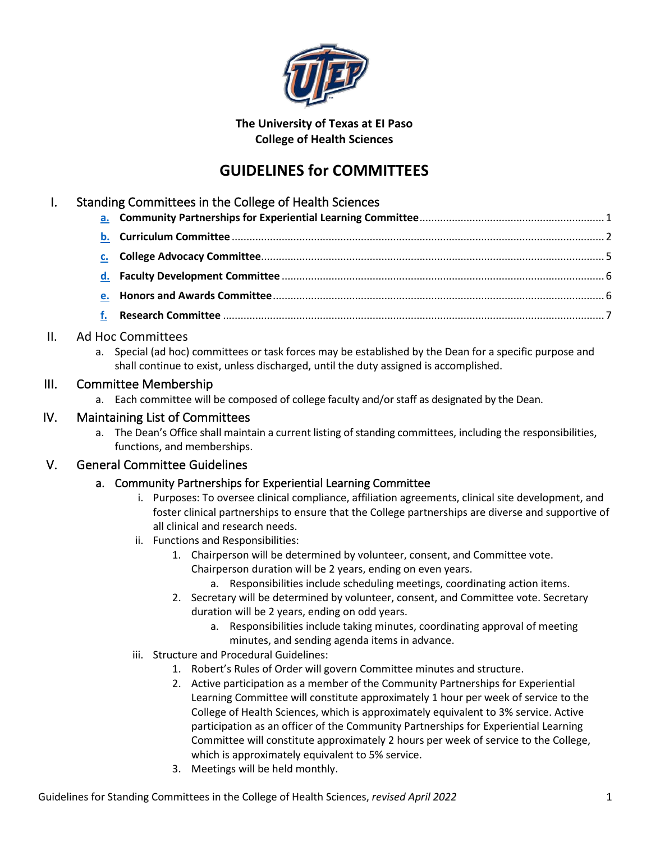

#### **The University of Texas at EI Paso College of Health Sciences**

# **GUIDELINES for COMMITTEES**

## I. Standing Committees in the College of Health Sciences

### II. Ad Hoc Committees

a. Special (ad hoc) committees or task forces may be established by the Dean for a specific purpose and shall continue to exist, unless discharged, until the duty assigned is accomplished.

### III. Committee Membership

a. Each committee will be composed of college faculty and/or staff as designated by the Dean.

## IV. Maintaining List of Committees

a. The Dean's Office shall maintain a current listing of standing committees, including the responsibilities, functions, and memberships.

## <span id="page-0-0"></span>V. General Committee Guidelines

#### a. Community Partnerships for Experiential Learning Committee

- i. Purposes: To oversee clinical compliance, affiliation agreements, clinical site development, and foster clinical partnerships to ensure that the College partnerships are diverse and supportive of all clinical and research needs.
- ii. Functions and Responsibilities:
	- 1. Chairperson will be determined by volunteer, consent, and Committee vote. Chairperson duration will be 2 years, ending on even years.
		- a. Responsibilities include scheduling meetings, coordinating action items.
	- 2. Secretary will be determined by volunteer, consent, and Committee vote. Secretary duration will be 2 years, ending on odd years.
		- a. Responsibilities include taking minutes, coordinating approval of meeting minutes, and sending agenda items in advance.
- iii. Structure and Procedural Guidelines:
	- 1. Robert's Rules of Order will govern Committee minutes and structure.
	- 2. Active participation as a member of the Community Partnerships for Experiential Learning Committee will constitute approximately 1 hour per week of service to the College of Health Sciences, which is approximately equivalent to 3% service. Active participation as an officer of the Community Partnerships for Experiential Learning Committee will constitute approximately 2 hours per week of service to the College, which is approximately equivalent to 5% service.
	- 3. Meetings will be held monthly.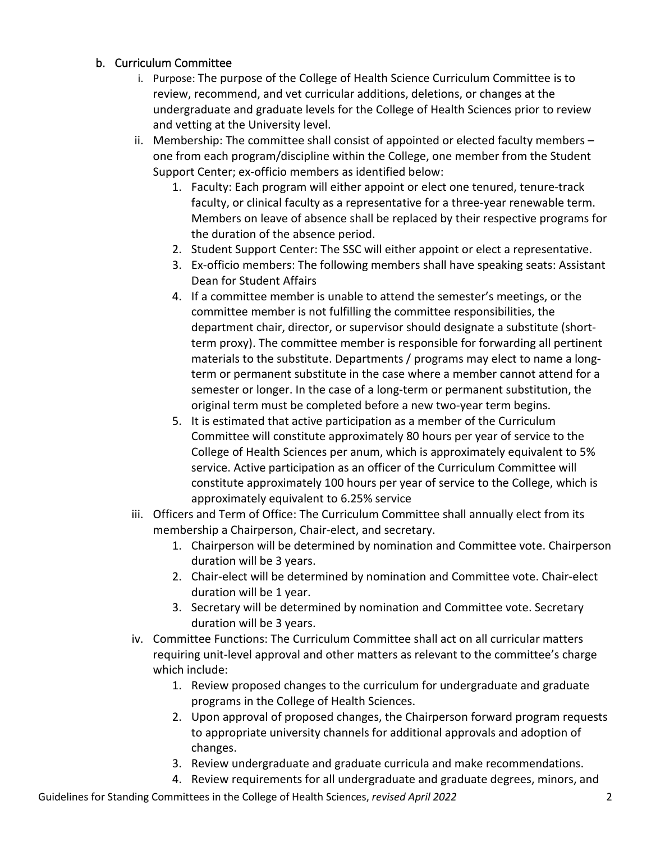#### <span id="page-1-0"></span>b. Curriculum Committee

- i. Purpose: The purpose of the College of Health Science Curriculum Committee is to review, recommend, and vet curricular additions, deletions, or changes at the undergraduate and graduate levels for the College of Health Sciences prior to review and vetting at the University level.
- ii. Membership: The committee shall consist of appointed or elected faculty members one from each program/discipline within the College, one member from the Student Support Center; ex-officio members as identified below:
	- 1. Faculty: Each program will either appoint or elect one tenured, tenure-track faculty, or clinical faculty as a representative for a three-year renewable term. Members on leave of absence shall be replaced by their respective programs for the duration of the absence period.
	- 2. Student Support Center: The SSC will either appoint or elect a representative.
	- 3. Ex-officio members: The following members shall have speaking seats: Assistant Dean for Student Affairs
	- 4. If a committee member is unable to attend the semester's meetings, or the committee member is not fulfilling the committee responsibilities, the department chair, director, or supervisor should designate a substitute (shortterm proxy). The committee member is responsible for forwarding all pertinent materials to the substitute. Departments / programs may elect to name a longterm or permanent substitute in the case where a member cannot attend for a semester or longer. In the case of a long-term or permanent substitution, the original term must be completed before a new two-year term begins.
	- 5. It is estimated that active participation as a member of the Curriculum Committee will constitute approximately 80 hours per year of service to the College of Health Sciences per anum, which is approximately equivalent to 5% service. Active participation as an officer of the Curriculum Committee will constitute approximately 100 hours per year of service to the College, which is approximately equivalent to 6.25% service
- iii. Officers and Term of Office: The Curriculum Committee shall annually elect from its membership a Chairperson, Chair-elect, and secretary.
	- 1. Chairperson will be determined by nomination and Committee vote. Chairperson duration will be 3 years.
	- 2. Chair-elect will be determined by nomination and Committee vote. Chair-elect duration will be 1 year.
	- 3. Secretary will be determined by nomination and Committee vote. Secretary duration will be 3 years.
- iv. Committee Functions: The Curriculum Committee shall act on all curricular matters requiring unit-level approval and other matters as relevant to the committee's charge which include:
	- 1. Review proposed changes to the curriculum for undergraduate and graduate programs in the College of Health Sciences.
	- 2. Upon approval of proposed changes, the Chairperson forward program requests to appropriate university channels for additional approvals and adoption of changes.
	- 3. Review undergraduate and graduate curricula and make recommendations.
	- 4. Review requirements for all undergraduate and graduate degrees, minors, and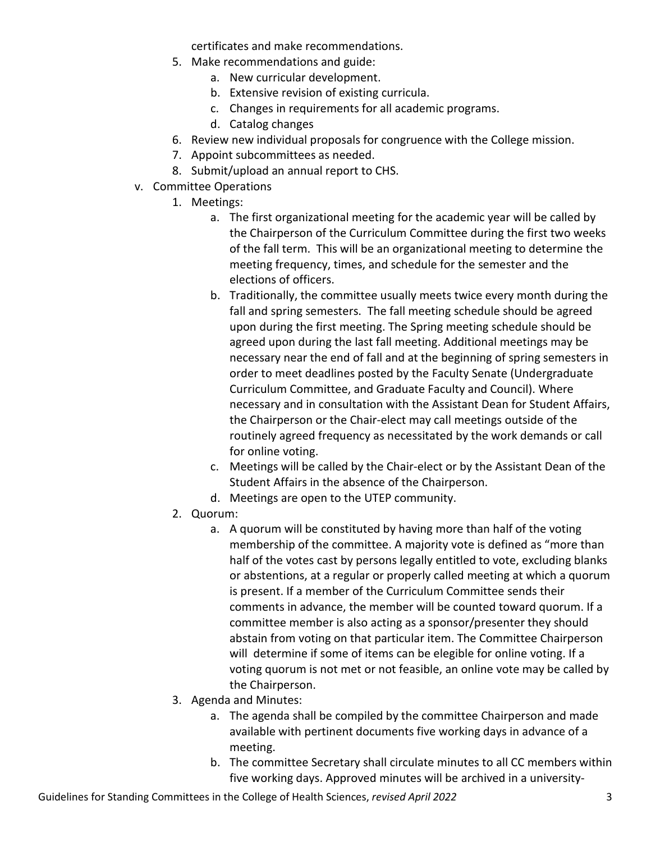certificates and make recommendations.

- 5. Make recommendations and guide:
	- a. New curricular development.
	- b. Extensive revision of existing curricula.
	- c. Changes in requirements for all academic programs.
	- d. Catalog changes
- 6. Review new individual proposals for congruence with the College mission.
- 7. Appoint subcommittees as needed.
- 8. Submit/upload an annual report to CHS.
- v. Committee Operations
	- 1. Meetings:
		- a. The first organizational meeting for the academic year will be called by the Chairperson of the Curriculum Committee during the first two weeks of the fall term. This will be an organizational meeting to determine the meeting frequency, times, and schedule for the semester and the elections of officers.
		- b. Traditionally, the committee usually meets twice every month during the fall and spring semesters. The fall meeting schedule should be agreed upon during the first meeting. The Spring meeting schedule should be agreed upon during the last fall meeting. Additional meetings may be necessary near the end of fall and at the beginning of spring semesters in order to meet deadlines posted by the Faculty Senate (Undergraduate Curriculum Committee, and Graduate Faculty and Council). Where necessary and in consultation with the Assistant Dean for Student Affairs, the Chairperson or the Chair-elect may call meetings outside of the routinely agreed frequency as necessitated by the work demands or call for online voting.
		- c. Meetings will be called by the Chair-elect or by the Assistant Dean of the Student Affairs in the absence of the Chairperson.
		- d. Meetings are open to the UTEP community.
	- 2. Quorum:
		- a. A quorum will be constituted by having more than half of the voting membership of the committee. A majority vote is defined as "more than half of the votes cast by persons legally entitled to vote, excluding blanks or abstentions, at a regular or properly called meeting at which a quorum is present. If a member of the Curriculum Committee sends their comments in advance, the member will be counted toward quorum. If a committee member is also acting as a sponsor/presenter they should abstain from voting on that particular item. The Committee Chairperson will determine if some of items can be elegible for online voting. If a voting quorum is not met or not feasible, an online vote may be called by the Chairperson.
	- 3. Agenda and Minutes:
		- a. The agenda shall be compiled by the committee Chairperson and made available with pertinent documents five working days in advance of a meeting.
		- b. The committee Secretary shall circulate minutes to all CC members within five working days. Approved minutes will be archived in a university-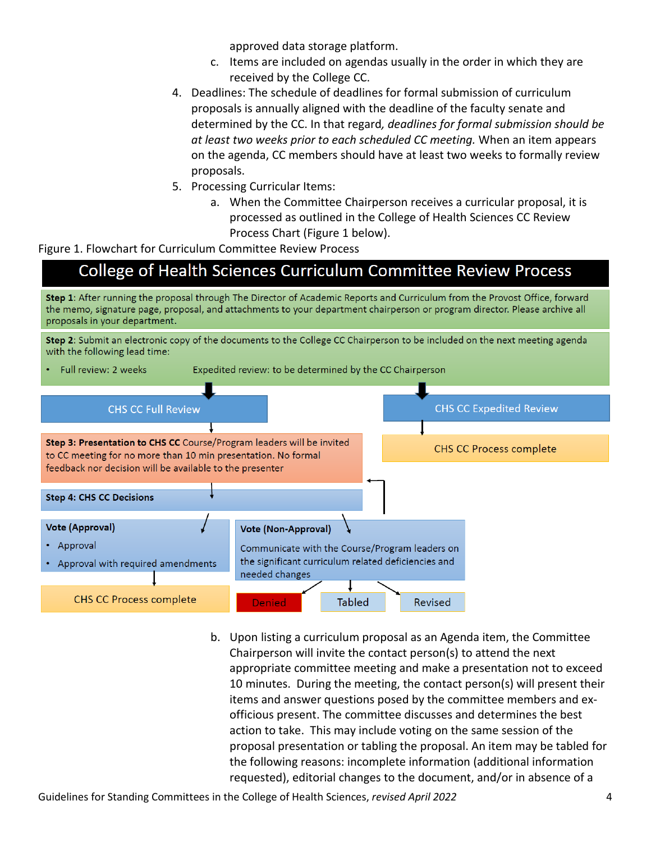approved data storage platform.

- c. Items are included on agendas usually in the order in which they are received by the College CC.
- 4. Deadlines: The schedule of deadlines for formal submission of curriculum proposals is annually aligned with the deadline of the faculty senate and determined by the CC. In that regard*, deadlines for formal submission should be at least two weeks prior to each scheduled CC meeting.* When an item appears on the agenda, CC members should have at least two weeks to formally review proposals.
- 5. Processing Curricular Items:
	- a. When the Committee Chairperson receives a curricular proposal, it is processed as outlined in the College of Health Sciences CC Review Process Chart (Figure 1 below).

Figure 1. Flowchart for Curriculum Committee Review Process

# College of Health Sciences Curriculum Committee Review Process

Step 1: After running the proposal through The Director of Academic Reports and Curriculum from the Provost Office, forward the memo, signature page, proposal, and attachments to your department chairperson or program director. Please archive all proposals in your department.

Step 2: Submit an electronic copy of the documents to the College CC Chairperson to be included on the next meeting agenda with the following lead time:



b. Upon listing a curriculum proposal as an Agenda item, the Committee Chairperson will invite the contact person(s) to attend the next appropriate committee meeting and make a presentation not to exceed 10 minutes. During the meeting, the contact person(s) will present their items and answer questions posed by the committee members and exofficious present. The committee discusses and determines the best action to take. This may include voting on the same session of the proposal presentation or tabling the proposal. An item may be tabled for the following reasons: incomplete information (additional information requested), editorial changes to the document, and/or in absence of a

Guidelines for Standing Committees in the College of Health Sciences, *revised April 2022* 4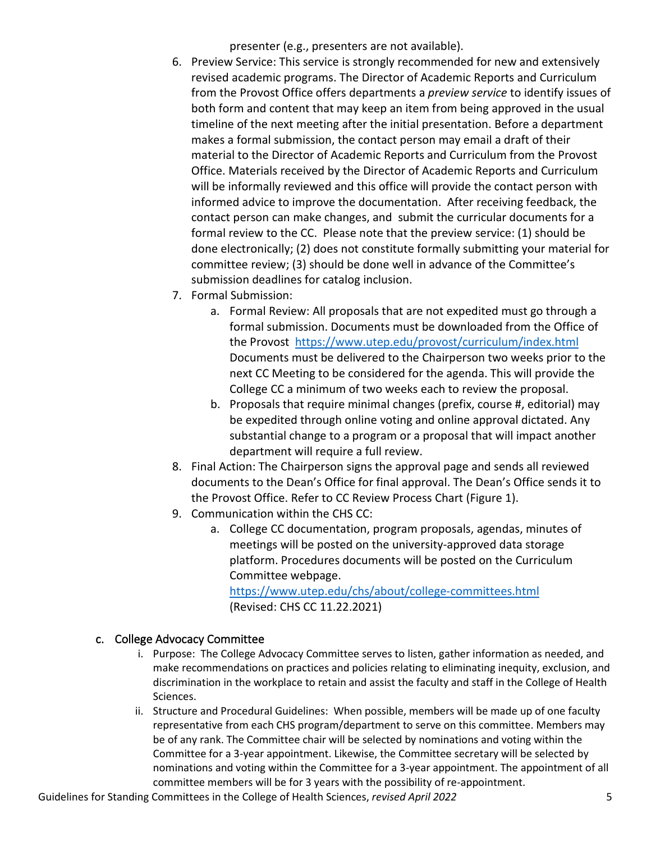presenter (e.g., presenters are not available).

- 6. Preview Service: This service is strongly recommended for new and extensively revised academic programs. The Director of Academic Reports and Curriculum from the Provost Office offers departments a *preview service* to identify issues of both form and content that may keep an item from being approved in the usual timeline of the next meeting after the initial presentation. Before a department makes a formal submission, the contact person may email a draft of their material to the Director of Academic Reports and Curriculum from the Provost Office. Materials received by the Director of Academic Reports and Curriculum will be informally reviewed and this office will provide the contact person with informed advice to improve the documentation. After receiving feedback, the contact person can make changes, and submit the curricular documents for a formal review to the CC. Please note that the preview service: (1) should be done electronically; (2) does not constitute formally submitting your material for committee review; (3) should be done well in advance of the Committee's submission deadlines for catalog inclusion.
- 7. Formal Submission:
	- a. Formal Review: All proposals that are not expedited must go through a formal submission. Documents must be downloaded from the Office of the Provost <https://www.utep.edu/provost/curriculum/index.html> Documents must be delivered to the Chairperson two weeks prior to the next CC Meeting to be considered for the agenda. This will provide the College CC a minimum of two weeks each to review the proposal.
	- b. Proposals that require minimal changes (prefix, course #, editorial) may be expedited through online voting and online approval dictated. Any substantial change to a program or a proposal that will impact another department will require a full review.
- 8. Final Action: The Chairperson signs the approval page and sends all reviewed documents to the Dean's Office for final approval. The Dean's Office sends it to the Provost Office. Refer to CC Review Process Chart (Figure 1).
- 9. Communication within the CHS CC:
	- a. College CC documentation, program proposals, agendas, minutes of meetings will be posted on the university-approved data storage platform. Procedures documents will be posted on the Curriculum Committee webpage.

<https://www.utep.edu/chs/about/college-committees.html> (Revised: CHS CC 11.22.2021)

#### <span id="page-4-0"></span>c. College Advocacy Committee

- i. Purpose: The College Advocacy Committee serves to listen, gather information as needed, and make recommendations on practices and policies relating to eliminating inequity, exclusion, and discrimination in the workplace to retain and assist the faculty and staff in the College of Health Sciences.
- ii. Structure and Procedural Guidelines: When possible, members will be made up of one faculty representative from each CHS program/department to serve on this committee. Members may be of any rank. The Committee chair will be selected by nominations and voting within the Committee for a 3-year appointment. Likewise, the Committee secretary will be selected by nominations and voting within the Committee for a 3-year appointment. The appointment of all committee members will be for 3 years with the possibility of re-appointment.

Guidelines for Standing Committees in the College of Health Sciences, *revised April 2022* 5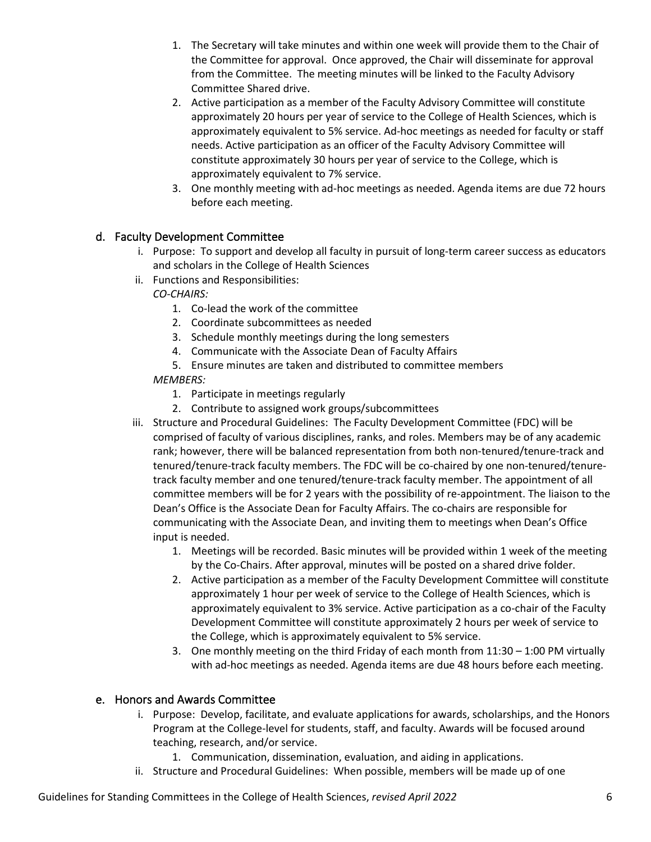- 1. The Secretary will take minutes and within one week will provide them to the Chair of the Committee for approval. Once approved, the Chair will disseminate for approval from the Committee. The meeting minutes will be linked to the Faculty Advisory Committee Shared drive.
- 2. Active participation as a member of the Faculty Advisory Committee will constitute approximately 20 hours per year of service to the College of Health Sciences, which is approximately equivalent to 5% service. Ad-hoc meetings as needed for faculty or staff needs. Active participation as an officer of the Faculty Advisory Committee will constitute approximately 30 hours per year of service to the College, which is approximately equivalent to 7% service.
- 3. One monthly meeting with ad-hoc meetings as needed. Agenda items are due 72 hours before each meeting.

#### <span id="page-5-0"></span>d. Faculty Development Committee

- i. Purpose: To support and develop all faculty in pursuit of long-term career success as educators and scholars in the College of Health Sciences
- ii. Functions and Responsibilities:

*CO-CHAIRS:*

- 1. Co-lead the work of the committee
- 2. Coordinate subcommittees as needed
- 3. Schedule monthly meetings during the long semesters
- 4. Communicate with the Associate Dean of Faculty Affairs
- 5. Ensure minutes are taken and distributed to committee members

#### *MEMBERS:*

- 1. Participate in meetings regularly
- 2. Contribute to assigned work groups/subcommittees
- iii. Structure and Procedural Guidelines: The Faculty Development Committee (FDC) will be comprised of faculty of various disciplines, ranks, and roles. Members may be of any academic rank; however, there will be balanced representation from both non-tenured/tenure-track and tenured/tenure-track faculty members. The FDC will be co-chaired by one non-tenured/tenuretrack faculty member and one tenured/tenure-track faculty member. The appointment of all committee members will be for 2 years with the possibility of re-appointment. The liaison to the Dean's Office is the Associate Dean for Faculty Affairs. The co-chairs are responsible for communicating with the Associate Dean, and inviting them to meetings when Dean's Office input is needed.
	- 1. Meetings will be recorded. Basic minutes will be provided within 1 week of the meeting by the Co-Chairs. After approval, minutes will be posted on a shared drive folder.
	- 2. Active participation as a member of the Faculty Development Committee will constitute approximately 1 hour per week of service to the College of Health Sciences, which is approximately equivalent to 3% service. Active participation as a co-chair of the Faculty Development Committee will constitute approximately 2 hours per week of service to the College, which is approximately equivalent to 5% service.
	- 3. One monthly meeting on the third Friday of each month from 11:30 1:00 PM virtually with ad-hoc meetings as needed. Agenda items are due 48 hours before each meeting.

#### <span id="page-5-1"></span>e. Honors and Awards Committee

- i. Purpose: Develop, facilitate, and evaluate applications for awards, scholarships, and the Honors Program at the College-level for students, staff, and faculty. Awards will be focused around teaching, research, and/or service.
	- 1. Communication, dissemination, evaluation, and aiding in applications.
- ii. Structure and Procedural Guidelines: When possible, members will be made up of one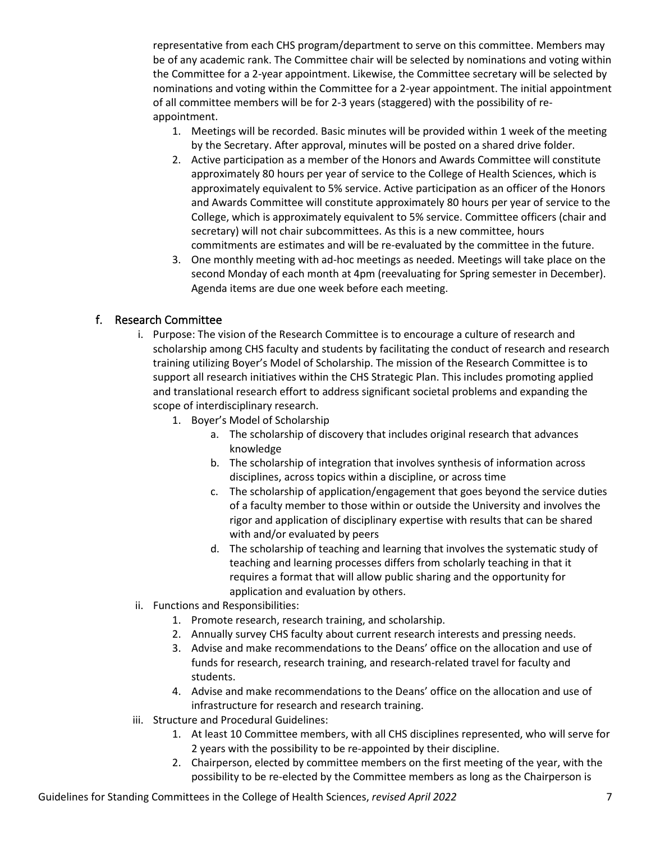representative from each CHS program/department to serve on this committee. Members may be of any academic rank. The Committee chair will be selected by nominations and voting within the Committee for a 2-year appointment. Likewise, the Committee secretary will be selected by nominations and voting within the Committee for a 2-year appointment. The initial appointment of all committee members will be for 2-3 years (staggered) with the possibility of reappointment.

- 1. Meetings will be recorded. Basic minutes will be provided within 1 week of the meeting by the Secretary. After approval, minutes will be posted on a shared drive folder.
- 2. Active participation as a member of the Honors and Awards Committee will constitute approximately 80 hours per year of service to the College of Health Sciences, which is approximately equivalent to 5% service. Active participation as an officer of the Honors and Awards Committee will constitute approximately 80 hours per year of service to the College, which is approximately equivalent to 5% service. Committee officers (chair and secretary) will not chair subcommittees. As this is a new committee, hours commitments are estimates and will be re-evaluated by the committee in the future.
- 3. One monthly meeting with ad-hoc meetings as needed. Meetings will take place on the second Monday of each month at 4pm (reevaluating for Spring semester in December). Agenda items are due one week before each meeting.

#### <span id="page-6-0"></span>f. Research Committee

- i. Purpose: The vision of the Research Committee is to encourage a culture of research and scholarship among CHS faculty and students by facilitating the conduct of research and research training utilizing Boyer's Model of Scholarship. The mission of the Research Committee is to support all research initiatives within the CHS Strategic Plan. This includes promoting applied and translational research effort to address significant societal problems and expanding the scope of interdisciplinary research.
	- 1. Boyer's Model of Scholarship
		- a. The scholarship of discovery that includes original research that advances knowledge
		- b. The scholarship of integration that involves synthesis of information across disciplines, across topics within a discipline, or across time
		- c. The scholarship of application/engagement that goes beyond the service duties of a faculty member to those within or outside the University and involves the rigor and application of disciplinary expertise with results that can be shared with and/or evaluated by peers
		- d. The scholarship of teaching and learning that involves the systematic study of teaching and learning processes differs from scholarly teaching in that it requires a format that will allow public sharing and the opportunity for application and evaluation by others.
- ii. Functions and Responsibilities:
	- 1. Promote research, research training, and scholarship.
	- 2. Annually survey CHS faculty about current research interests and pressing needs.
	- 3. Advise and make recommendations to the Deans' office on the allocation and use of funds for research, research training, and research-related travel for faculty and students.
	- 4. Advise and make recommendations to the Deans' office on the allocation and use of infrastructure for research and research training.
- iii. Structure and Procedural Guidelines:
	- 1. At least 10 Committee members, with all CHS disciplines represented, who will serve for 2 years with the possibility to be re-appointed by their discipline.
	- 2. Chairperson, elected by committee members on the first meeting of the year, with the possibility to be re-elected by the Committee members as long as the Chairperson is